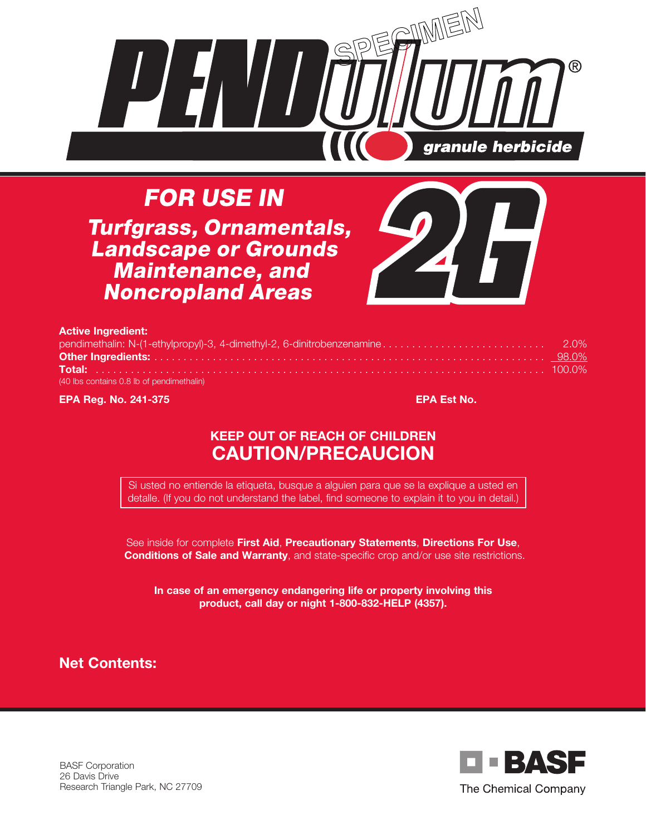

**FOR USE IN Turfgrass, Ornamentals, Landscape or Grounds Maintenance, and Noncropland Areas** 



| <b>Active Ingredient:</b>                 |  |
|-------------------------------------------|--|
|                                           |  |
|                                           |  |
|                                           |  |
| (40 lbs contains 0.8 lb of pendimethalin) |  |

**EPA Reg. No. 241-375 EPA Est No.**

# **KEEP OUT OF REACH OF CHILDREN CAUTION/PRECAUCION**

Si usted no entiende la etiqueta, busque a alguien para que se la explique a usted en detalle. (If you do not understand the label, find someone to explain it to you in detail.)

See inside for complete **First Aid**, **Precautionary Statements**, **Directions For Use**, **Conditions of Sale and Warranty**, and state-specific crop and/or use site restrictions.

**In case of an emergency endangering life or property involving this product, call day or night 1-800-832-HELP (4357).**

**Net Contents:**



BASF Corporation 26 Davis Drive Research Triangle Park, NC 27709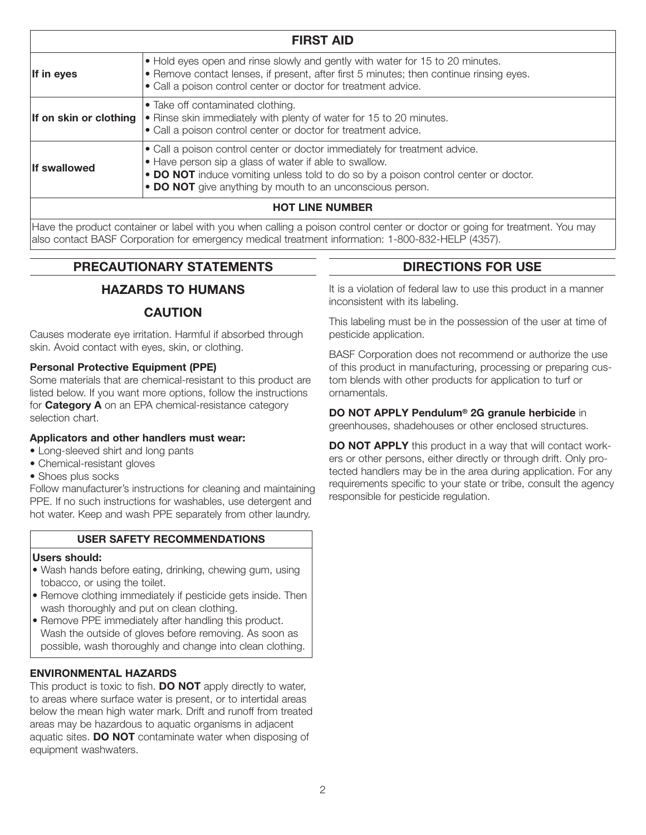| <b>FIRST AID</b>       |                                                                                                                                                                                                                                                                                          |  |
|------------------------|------------------------------------------------------------------------------------------------------------------------------------------------------------------------------------------------------------------------------------------------------------------------------------------|--|
| If in eyes             | • Hold eyes open and rinse slowly and gently with water for 15 to 20 minutes.<br>• Remove contact lenses, if present, after first 5 minutes; then continue rinsing eyes.<br>• Call a poison control center or doctor for treatment advice.                                               |  |
| If on skin or clothing | • Take off contaminated clothing.<br>• Rinse skin immediately with plenty of water for 15 to 20 minutes.<br>• Call a poison control center or doctor for treatment advice.                                                                                                               |  |
| <b>If swallowed</b>    | • Call a poison control center or doctor immediately for treatment advice.<br>• Have person sip a glass of water if able to swallow.<br>• DO NOT induce vomiting unless told to do so by a poison control center or doctor.<br>• DO NOT give anything by mouth to an unconscious person. |  |
| <b>HOT LINE NUMBER</b> |                                                                                                                                                                                                                                                                                          |  |

Have the product container or label with you when calling a poison control center or doctor or going for treatment. You may also contact BASF Corporation for emergency medical treatment information: 1-800-832-HELP (4357).

# **PRECAUTIONARY STATEMENTS**

# **HAZARDS TO HUMANS**

## **CAUTION**

Causes moderate eye irritation. Harmful if absorbed through skin. Avoid contact with eyes, skin, or clothing.

### **Personal Protective Equipment (PPE)**

Some materials that are chemical-resistant to this product are listed below. If you want more options, follow the instructions for **Category A** on an EPA chemical-resistance category selection chart.

### **Applicators and other handlers must wear:**

- Long-sleeved shirt and long pants
- Chemical-resistant gloves
- Shoes plus socks

Follow manufacturer's instructions for cleaning and maintaining PPE. If no such instructions for washables, use detergent and hot water. Keep and wash PPE separately from other laundry.

## **USER SAFETY RECOMMENDATIONS**

#### **Users should:**

- Wash hands before eating, drinking, chewing gum, using tobacco, or using the toilet.
- Remove clothing immediately if pesticide gets inside. Then wash thoroughly and put on clean clothing.
- Remove PPE immediately after handling this product. Wash the outside of gloves before removing. As soon as possible, wash thoroughly and change into clean clothing.

## **ENVIRONMENTAL HAZARDS**

This product is toxic to fish. **DO NOT** apply directly to water, to areas where surface water is present, or to intertidal areas below the mean high water mark. Drift and runoff from treated areas may be hazardous to aquatic organisms in adjacent aquatic sites. **DO NOT** contaminate water when disposing of equipment washwaters.

# **DIRECTIONS FOR USE**

It is a violation of federal law to use this product in a manner inconsistent with its labeling.

This labeling must be in the possession of the user at time of pesticide application.

BASF Corporation does not recommend or authorize the use of this product in manufacturing, processing or preparing custom blends with other products for application to turf or ornamentals.

**DO NOT APPLY Pendulum® 2G granule herbicide** in greenhouses, shadehouses or other enclosed structures.

**DO NOT APPLY** this product in a way that will contact workers or other persons, either directly or through drift. Only protected handlers may be in the area during application. For any requirements specific to your state or tribe, consult the agency responsible for pesticide regulation.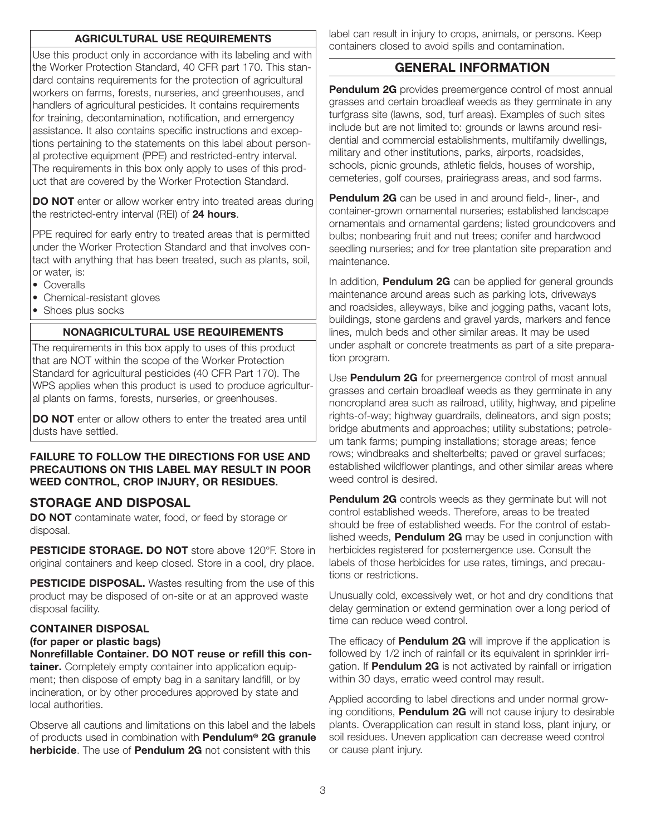## **AGRICULTURAL USE REQUIREMENTS**

Use this product only in accordance with its labeling and with the Worker Protection Standard, 40 CFR part 170. This standard contains requirements for the protection of agricultural workers on farms, forests, nurseries, and greenhouses, and handlers of agricultural pesticides. It contains requirements for training, decontamination, notification, and emergency assistance. It also contains specific instructions and exceptions pertaining to the statements on this label about personal protective equipment (PPE) and restricted-entry interval. The requirements in this box only apply to uses of this product that are covered by the Worker Protection Standard.

**DO NOT** enter or allow worker entry into treated areas during the restricted-entry interval (REI) of **24 hours**.

PPE required for early entry to treated areas that is permitted under the Worker Protection Standard and that involves contact with anything that has been treated, such as plants, soil, or water, is:

- Coveralls
- Chemical-resistant gloves
- Shoes plus socks

#### **NONAGRICULTURAL USE REQUIREMENTS**

The requirements in this box apply to uses of this product that are NOT within the scope of the Worker Protection Standard for agricultural pesticides (40 CFR Part 170). The WPS applies when this product is used to produce agricultural plants on farms, forests, nurseries, or greenhouses.

**DO NOT** enter or allow others to enter the treated area until dusts have settled.

#### **FAILURE TO FOLLOW THE DIRECTIONS FOR USE AND PRECAUTIONS ON THIS LABEL MAY RESULT IN POOR WEED CONTROL, CROP INJURY, OR RESIDUES.**

#### **STORAGE AND DISPOSAL**

**DO NOT** contaminate water, food, or feed by storage or disposal.

**PESTICIDE STORAGE. DO NOT** store above 120°F. Store in original containers and keep closed. Store in a cool, dry place.

**PESTICIDE DISPOSAL.** Wastes resulting from the use of this product may be disposed of on-site or at an approved waste disposal facility.

#### **CONTAINER DISPOSAL**

#### **(for paper or plastic bags)**

**Nonrefillable Container. DO NOT reuse or refill this container.** Completely empty container into application equipment; then dispose of empty bag in a sanitary landfill, or by incineration, or by other procedures approved by state and local authorities.

Observe all cautions and limitations on this label and the labels of products used in combination with **Pendulum® 2G granule herbicide**. The use of **Pendulum 2G** not consistent with this

label can result in injury to crops, animals, or persons. Keep containers closed to avoid spills and contamination.

#### **GENERAL INFORMATION**

**Pendulum 2G** provides preemergence control of most annual grasses and certain broadleaf weeds as they germinate in any turfgrass site (lawns, sod, turf areas). Examples of such sites include but are not limited to: grounds or lawns around residential and commercial establishments, multifamily dwellings, military and other institutions, parks, airports, roadsides, schools, picnic grounds, athletic fields, houses of worship, cemeteries, golf courses, prairiegrass areas, and sod farms.

**Pendulum 2G** can be used in and around field-, liner-, and container-grown ornamental nurseries; established landscape ornamentals and ornamental gardens; listed groundcovers and bulbs; nonbearing fruit and nut trees; conifer and hardwood seedling nurseries; and for tree plantation site preparation and maintenance.

In addition, **Pendulum 2G** can be applied for general grounds maintenance around areas such as parking lots, driveways and roadsides, alleyways, bike and jogging paths, vacant lots, buildings, stone gardens and gravel yards, markers and fence lines, mulch beds and other similar areas. It may be used under asphalt or concrete treatments as part of a site preparation program.

Use **Pendulum 2G** for preemergence control of most annual grasses and certain broadleaf weeds as they germinate in any noncropland area such as railroad, utility, highway, and pipeline rights-of-way; highway guardrails, delineators, and sign posts; bridge abutments and approaches; utility substations; petroleum tank farms; pumping installations; storage areas; fence rows; windbreaks and shelterbelts; paved or gravel surfaces; established wildflower plantings, and other similar areas where weed control is desired.

**Pendulum 2G** controls weeds as they germinate but will not control established weeds. Therefore, areas to be treated should be free of established weeds. For the control of established weeds, **Pendulum 2G** may be used in conjunction with herbicides registered for postemergence use. Consult the labels of those herbicides for use rates, timings, and precautions or restrictions.

Unusually cold, excessively wet, or hot and dry conditions that delay germination or extend germination over a long period of time can reduce weed control.

The efficacy of **Pendulum 2G** will improve if the application is followed by 1/2 inch of rainfall or its equivalent in sprinkler irrigation. If **Pendulum 2G** is not activated by rainfall or irrigation within 30 days, erratic weed control may result.

Applied according to label directions and under normal growing conditions, **Pendulum 2G** will not cause injury to desirable plants. Overapplication can result in stand loss, plant injury, or soil residues. Uneven application can decrease weed control or cause plant injury.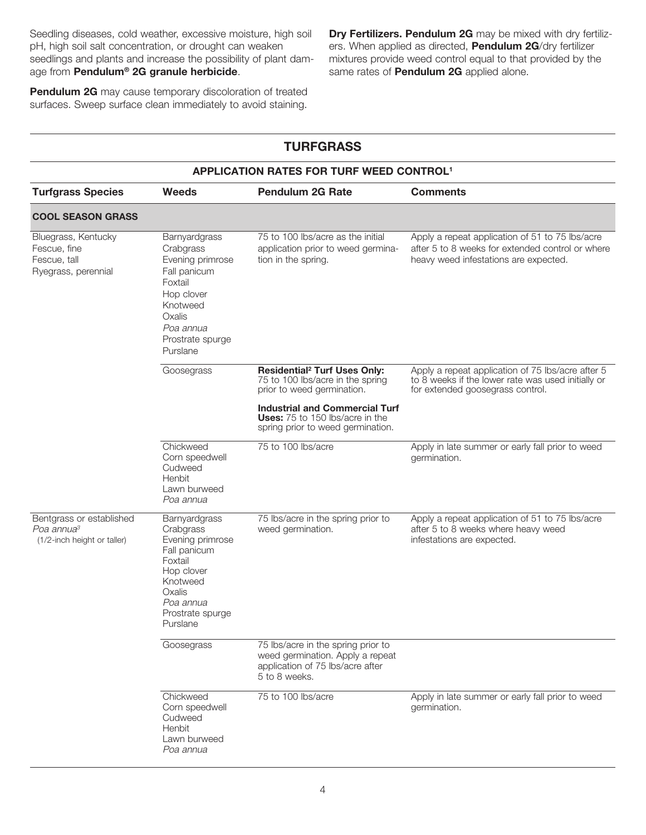Seedling diseases, cold weather, excessive moisture, high soil pH, high soil salt concentration, or drought can weaken seedlings and plants and increase the possibility of plant damage from **Pendulum® 2G granule herbicide**.

**Pendulum 2G** may cause temporary discoloration of treated surfaces. Sweep surface clean immediately to avoid staining.

**Dry Fertilizers. Pendulum 2G** may be mixed with dry fertilizers. When applied as directed, **Pendulum 2G**/dry fertilizer mixtures provide weed control equal to that provided by the same rates of **Pendulum 2G** applied alone.

| <b>TURFGRASS</b><br><b>APPLICATION RATES FOR TURF WEED CONTROL!</b>               |                                                                                                                                                            |                                                                                                                             |                                                                                                                                              |
|-----------------------------------------------------------------------------------|------------------------------------------------------------------------------------------------------------------------------------------------------------|-----------------------------------------------------------------------------------------------------------------------------|----------------------------------------------------------------------------------------------------------------------------------------------|
|                                                                                   |                                                                                                                                                            |                                                                                                                             |                                                                                                                                              |
| <b>COOL SEASON GRASS</b>                                                          |                                                                                                                                                            |                                                                                                                             |                                                                                                                                              |
| Bluegrass, Kentucky<br>Fescue, fine<br>Fescue, tall<br>Ryegrass, perennial        | Barnyardgrass<br>Crabgrass<br>Evening primrose<br>Fall panicum<br>Foxtail<br>Hop clover<br>Knotweed<br>Oxalis<br>Poa annua<br>Prostrate spurge<br>Purslane | 75 to 100 lbs/acre as the initial<br>application prior to weed germina-<br>tion in the spring.                              | Apply a repeat application of 51 to 75 lbs/acre<br>after 5 to 8 weeks for extended control or where<br>heavy weed infestations are expected. |
|                                                                                   | Goosegrass                                                                                                                                                 | <b>Residential<sup>2</sup> Turf Uses Only:</b><br>75 to 100 lbs/acre in the spring<br>prior to weed germination.            | Apply a repeat application of 75 lbs/acre after 5<br>to 8 weeks if the lower rate was used initially or<br>for extended goosegrass control.  |
|                                                                                   |                                                                                                                                                            | <b>Industrial and Commercial Turf</b><br>Uses: 75 to 150 lbs/acre in the<br>spring prior to weed germination.               |                                                                                                                                              |
|                                                                                   | Chickweed<br>Corn speedwell<br>Cudweed<br>Henbit<br>Lawn burweed<br>Poa annua                                                                              | 75 to 100 lbs/acre                                                                                                          | Apply in late summer or early fall prior to weed<br>germination.                                                                             |
| Bentgrass or established<br>Poa annua <sup>3</sup><br>(1/2-inch height or taller) | Barnyardgrass<br>Crabgrass<br>Evening primrose<br>Fall panicum<br>Foxtail<br>Hop clover<br>Knotweed<br>Oxalis<br>Poa annua<br>Prostrate spurge<br>Purslane | 75 lbs/acre in the spring prior to<br>weed germination.                                                                     | Apply a repeat application of 51 to 75 lbs/acre<br>after 5 to 8 weeks where heavy weed<br>infestations are expected.                         |
|                                                                                   | Goosegrass                                                                                                                                                 | 75 lbs/acre in the spring prior to<br>weed germination. Apply a repeat<br>application of 75 lbs/acre after<br>5 to 8 weeks. |                                                                                                                                              |
|                                                                                   | Chickweed<br>Corn speedwell<br>Cudweed<br>Henbit<br>Lawn burweed<br>Poa annua                                                                              | 75 to 100 lbs/acre                                                                                                          | Apply in late summer or early fall prior to weed<br>germination.                                                                             |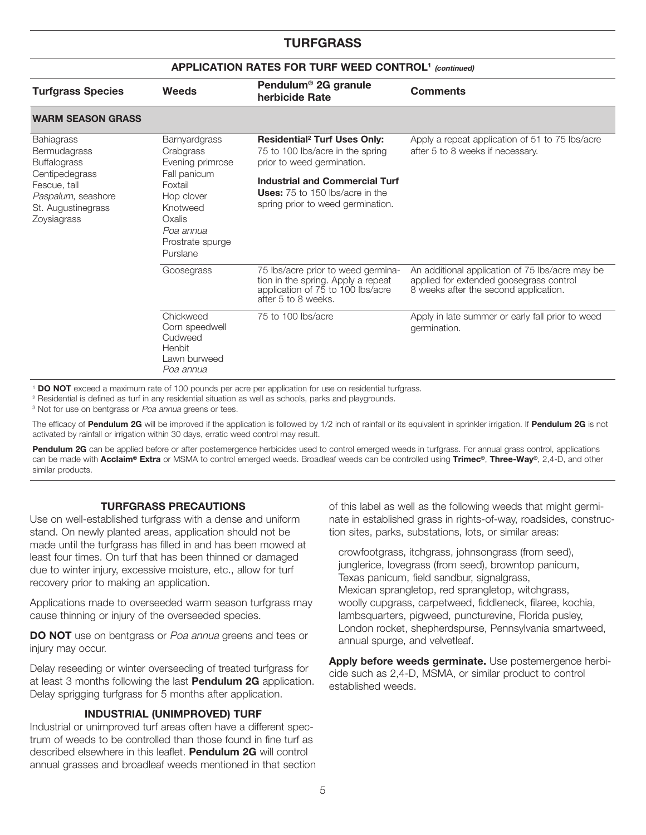## **TURFGRASS**

#### **APPLICATION RATES FOR TURF WEED CONTROL1 (continued)**

| <b>Turfgrass Species</b>                                                                                                                              | <b>Weeds</b>                                                                                                                                                      | Pendulum <sup>®</sup> 2G granule<br>herbicide Rate                                                                                                                                                                                       | <b>Comments</b>                                                                                                                     |
|-------------------------------------------------------------------------------------------------------------------------------------------------------|-------------------------------------------------------------------------------------------------------------------------------------------------------------------|------------------------------------------------------------------------------------------------------------------------------------------------------------------------------------------------------------------------------------------|-------------------------------------------------------------------------------------------------------------------------------------|
| <b>WARM SEASON GRASS</b>                                                                                                                              |                                                                                                                                                                   |                                                                                                                                                                                                                                          |                                                                                                                                     |
| <b>Bahiagrass</b><br>Bermudagrass<br><b>Buffalograss</b><br>Centipedegrass<br>Fescue, tall<br>Paspalum, seashore<br>St. Augustinegrass<br>Zoysiagrass | <b>Barnyardgrass</b><br>Crabgrass<br>Evening primrose<br>Fall panicum<br>Foxtail<br>Hop clover<br>Knotweed<br>Oxalis<br>Poa annua<br>Prostrate spurge<br>Purslane | <b>Residential<sup>2</sup> Turf Uses Only:</b><br>75 to 100 lbs/acre in the spring<br>prior to weed germination.<br><b>Industrial and Commercial Turf</b><br><b>Uses:</b> 75 to 150 lbs/acre in the<br>spring prior to weed germination. | Apply a repeat application of 51 to 75 lbs/acre<br>after 5 to 8 weeks if necessary.                                                 |
|                                                                                                                                                       | Goosegrass                                                                                                                                                        | 75 lbs/acre prior to weed germina-<br>tion in the spring. Apply a repeat<br>application of 75 to 100 lbs/acre<br>after 5 to 8 weeks.                                                                                                     | An additional application of 75 lbs/acre may be<br>applied for extended goosegrass control<br>8 weeks after the second application. |
|                                                                                                                                                       | Chickweed<br>Corn speedwell<br>Cudweed<br>Henbit<br>Lawn burweed<br>Poa annua                                                                                     | 75 to 100 lbs/acre                                                                                                                                                                                                                       | Apply in late summer or early fall prior to weed<br>germination.                                                                    |

<sup>1</sup> **DO NOT** exceed a maximum rate of 100 pounds per acre per application for use on residential turfgrass.

<sup>2</sup> Residential is defined as turf in any residential situation as well as schools, parks and playgrounds.

<sup>3</sup> Not for use on bentgrass or Poa annua greens or tees.

The efficacy of **Pendulum 2G** will be improved if the application is followed by 1/2 inch of rainfall or its equivalent in sprinkler irrigation. If **Pendulum 2G** is not activated by rainfall or irrigation within 30 days, erratic weed control may result.

Pendulum 2G can be applied before or after postemergence herbicides used to control emerged weeds in turfgrass. For annual grass control, applications can be made with **Acclaim® Extra** or MSMA to control emerged weeds. Broadleaf weeds can be controlled using **Trimec®**, **Three-Way®**, 2,4-D, and other similar products.

#### **TURFGRASS PRECAUTIONS**

Use on well-established turfgrass with a dense and uniform stand. On newly planted areas, application should not be made until the turfgrass has filled in and has been mowed at least four times. On turf that has been thinned or damaged due to winter injury, excessive moisture, etc., allow for turf recovery prior to making an application.

Applications made to overseeded warm season turfgrass may cause thinning or injury of the overseeded species.

**DO NOT** use on bentgrass or Poa annua greens and tees or injury may occur.

Delay reseeding or winter overseeding of treated turfgrass for at least 3 months following the last **Pendulum 2G** application. Delay sprigging turfgrass for 5 months after application.

#### **INDUSTRIAL (UNIMPROVED) TURF**

Industrial or unimproved turf areas often have a different spectrum of weeds to be controlled than those found in fine turf as described elsewhere in this leaflet. **Pendulum 2G** will control annual grasses and broadleaf weeds mentioned in that section of this label as well as the following weeds that might germinate in established grass in rights-of-way, roadsides, construction sites, parks, substations, lots, or similar areas:

crowfootgrass, itchgrass, johnsongrass (from seed), junglerice, lovegrass (from seed), browntop panicum, Texas panicum, field sandbur, signalgrass, Mexican sprangletop, red sprangletop, witchgrass, woolly cupgrass, carpetweed, fiddleneck, filaree, kochia, lambsquarters, pigweed, puncturevine, Florida pusley, London rocket, shepherdspurse, Pennsylvania smartweed, annual spurge, and velvetleaf.

**Apply before weeds germinate.** Use postemergence herbicide such as 2,4-D, MSMA, or similar product to control established weeds.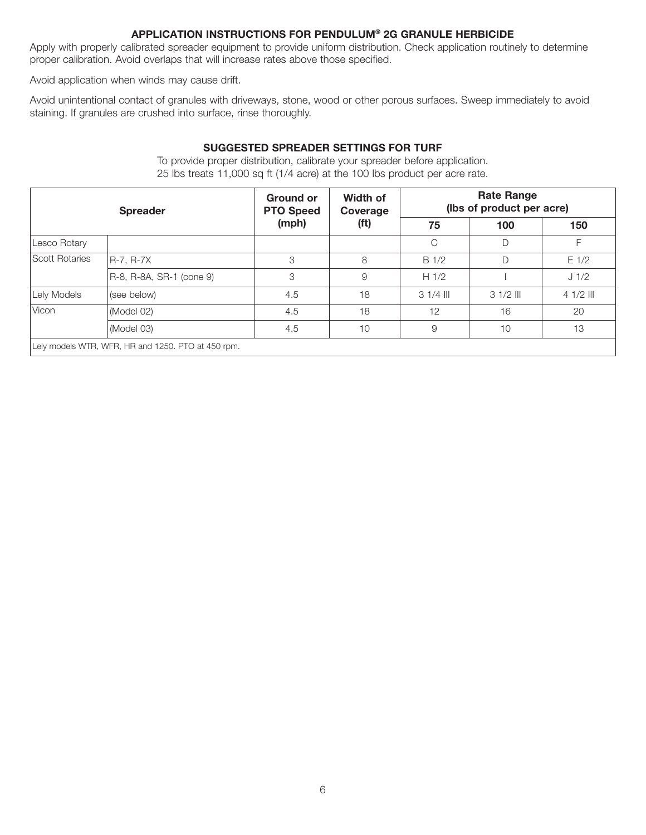#### **APPLICATION INSTRUCTIONS FOR PENDULUM® 2G GRANULE HERBICIDE**

Apply with properly calibrated spreader equipment to provide uniform distribution. Check application routinely to determine proper calibration. Avoid overlaps that will increase rates above those specified.

Avoid application when winds may cause drift.

Avoid unintentional contact of granules with driveways, stone, wood or other porous surfaces. Sweep immediately to avoid staining. If granules are crushed into surface, rinse thoroughly.

#### **SUGGESTED SPREADER SETTINGS FOR TURF**

| <b>Spreader</b> |                                                    | <b>Ground or</b><br><b>PTO Speed</b> | Width of<br>Coverage<br>(f <sup>t</sup> ) | <b>Rate Range</b><br>(lbs of product per acre) |            |            |
|-----------------|----------------------------------------------------|--------------------------------------|-------------------------------------------|------------------------------------------------|------------|------------|
|                 |                                                    | (mph)                                |                                           | 75                                             | 100        | 150        |
| Lesco Rotary    |                                                    |                                      |                                           | C                                              | D          |            |
| Scott Rotaries  | R-7. R-7X                                          | 3                                    | 8                                         | B <sub>1/2</sub>                               | D          | $E$ 1/2    |
|                 | R-8, R-8A, SR-1 (cone 9)                           | 3                                    | 9                                         | H1/2                                           |            | J 1/2      |
| Lely Models     | (see below)                                        | 4.5                                  | 18                                        | $31/4$ III                                     | $31/2$ III | $41/2$ III |
| Vicon           | (Model 02)                                         | 4.5                                  | 18                                        | 12                                             | 16         | 20         |
|                 | (Model 03)                                         | 4.5                                  | 10                                        | 9                                              | 10         | 13         |
|                 | Lely models WTR, WFR, HR and 1250. PTO at 450 rpm. |                                      |                                           |                                                |            |            |

To provide proper distribution, calibrate your spreader before application. 25 lbs treats 11,000 sq ft (1/4 acre) at the 100 lbs product per acre rate.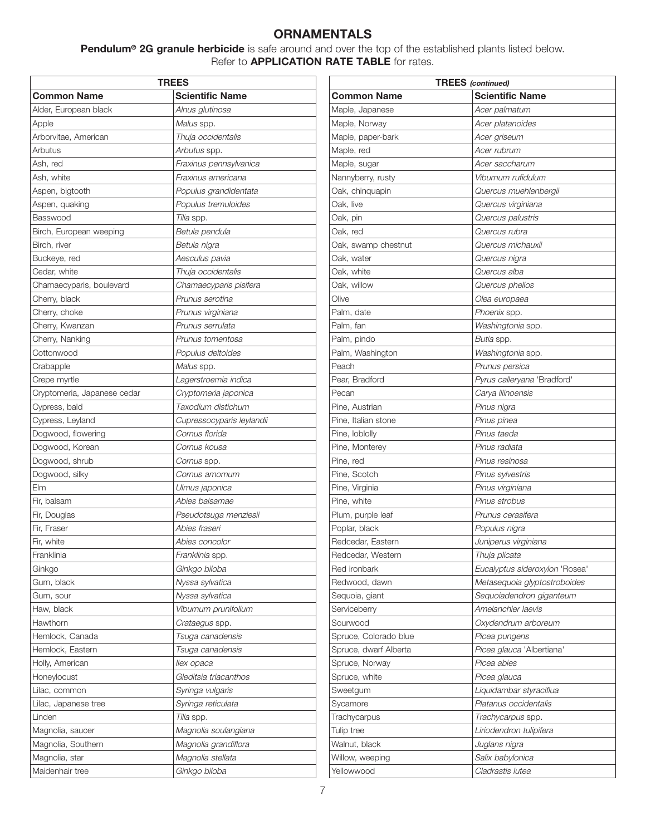# **ORNAMENTALS**

**Pendulum® 2G granule herbicide** is safe around and over the top of the established plants listed below. Refer to **APPLICATION RATE TABLE** for rates.

| TREES                       |                           |  |  |
|-----------------------------|---------------------------|--|--|
| <b>Common Name</b>          | <b>Scientific Name</b>    |  |  |
| Alder, European black       | Alnus glutinosa           |  |  |
| Apple                       | Malus spp.                |  |  |
| Arborvitae, American        | Thuja occidentalis        |  |  |
| Arbutus                     | Arbutus spp.              |  |  |
| Ash, red                    | Fraxinus pennsylvanica    |  |  |
| Ash, white                  | Fraxinus americana        |  |  |
| Aspen, bigtooth             | Populus grandidentata     |  |  |
| Aspen, quaking              | Populus tremuloides       |  |  |
| Basswood                    | Tilia spp.                |  |  |
| Birch, European weeping     | Betula pendula            |  |  |
| Birch, river                | Betula nigra              |  |  |
| Buckeye, red                | Aesculus pavia            |  |  |
| Cedar, white                | Thuja occidentalis        |  |  |
| Chamaecyparis, boulevard    | Chamaecyparis pisifera    |  |  |
| Cherry, black               | Prunus serotina           |  |  |
| Cherry, choke               | Prunus virginiana         |  |  |
| Cherry, Kwanzan             | Prunus serrulata          |  |  |
| Cherry, Nanking             | Prunus tomentosa          |  |  |
| Cottonwood                  | Populus deltoides         |  |  |
| Crabapple                   | Malus spp.                |  |  |
| Crepe myrtle                | Lagerstroemia indica      |  |  |
| Cryptomeria, Japanese cedar | Cryptomeria japonica      |  |  |
| Cypress, bald               | Taxodium distichum        |  |  |
| Cypress, Leyland            | Cupressocyparis leylandii |  |  |
| Dogwood, flowering          | Cornus florida            |  |  |
| Dogwood, Korean             | Cornus kousa              |  |  |
| Dogwood, shrub              | Cornus spp.               |  |  |
| Dogwood, silky              | Cornus amomum             |  |  |
| Elm                         | Ulmus japonica            |  |  |
| Fir, balsam                 | Abies balsamae            |  |  |
| Fir, Douglas                | Pseudotsuga menziesii     |  |  |
| Fir, Fraser                 | Abies fraseri             |  |  |
| Fir, white                  | Abies concolor            |  |  |
| Franklinia                  | Franklinia spp.           |  |  |
| Ginkgo                      | Ginkgo biloba             |  |  |
| Gum, black                  | Nyssa sylvatica           |  |  |
| Gum, sour                   | Nyssa sylvatica           |  |  |
| Haw, black                  | Viburnum prunifolium      |  |  |
| Hawthorn                    | Crataegus spp.            |  |  |
| Hemlock, Canada             | Tsuga canadensis          |  |  |
| Hemlock, Eastern            | Tsuga canadensis          |  |  |
| Holly, American             | llex opaca                |  |  |
| Honeylocust                 | Gleditsia triacanthos     |  |  |
| Lilac, common               | Syringa vulgaris          |  |  |
| Lilac, Japanese tree        | Syringa reticulata        |  |  |
| Linden                      | Tilia spp.                |  |  |
| Magnolia, saucer            | Magnolia soulangiana      |  |  |
| Magnolia, Southern          | Magnolia grandiflora      |  |  |
| Magnolia, star              | Magnolia stellata         |  |  |
| Maidenhair tree             | Ginkgo biloba             |  |  |
|                             |                           |  |  |

| <b>Scientific Name</b><br><b>Common Name</b><br>Acer palmatum<br>Acer platanoides<br>Maple, paper-bark<br>Acer griseum<br>Maple, red<br>Acer rubrum<br>Maple, sugar<br>Acer saccharum<br>Viburnum rufidulum<br>Nannyberry, rusty<br>Oak, chinquapin<br>Quercus muehlenbergii<br>Oak, live<br>Quercus virginiana<br>Oak, pin<br>Quercus palustris<br>Oak, red<br>Quercus rubra<br>Quercus michauxii<br>Oak, swamp chestnut<br>Oak, water<br>Quercus nigra<br>Oak, white<br>Quercus alba<br>Quercus phellos<br>Olive<br>Olea europaea<br><i>Phoenix</i> spp.<br>Palm, fan<br><i>Washingtonia</i> spp.<br>Palm, pindo<br>Butia spp.<br>Palm, Washington<br>Washingtonia spp.<br>Peach<br>Prunus persica<br>Pear, Bradford<br>Pyrus calleryana 'Bradford'<br>Carya illinoensis<br>Pinus nigra<br>Pinus pinea<br>Pinus taeda<br>Pinus radiata<br>Pinus resinosa<br>Pine, Scotch<br>Pinus sylvestris<br>Pine, Virginia<br>Pinus virginiana<br>Pinus strobus<br>Prunus cerasifera<br>Populus nigra<br>Redcedar, Eastern<br>Juniperus virginiana<br>Redcedar, Western<br>Thuja plicata<br>Red ironbark<br>Eucalyptus sideroxylon 'Rosea'<br>Redwood, dawn<br>Metasequoia glyptostroboides<br>Sequoia, giant<br>Sequoiadendron giganteum<br>Amelanchier laevis<br>Serviceberry<br>Oxydendrum arboreum<br>Sourwood<br>Spruce, Colorado blue<br>Picea pungens<br>Picea glauca 'Albertiana'<br>Spruce, dwarf Alberta<br>Picea abies<br>Spruce, Norway<br>Spruce, white<br>Picea glauca<br>Sweetgum<br>Liquidambar styraciflua<br>Platanus occidentalis<br>Sycamore<br>Trachycarpus<br><i>Trachycarpus</i> spp.<br>Tulip tree<br>Liriodendron tulipifera<br>Walnut, black<br>Juglans nigra<br>Willow, weeping<br>Salix babylonica<br>Cladrastis lutea<br>Yellowwood | <b>TREES</b> (continued) |  |  |  |
|--------------------------------------------------------------------------------------------------------------------------------------------------------------------------------------------------------------------------------------------------------------------------------------------------------------------------------------------------------------------------------------------------------------------------------------------------------------------------------------------------------------------------------------------------------------------------------------------------------------------------------------------------------------------------------------------------------------------------------------------------------------------------------------------------------------------------------------------------------------------------------------------------------------------------------------------------------------------------------------------------------------------------------------------------------------------------------------------------------------------------------------------------------------------------------------------------------------------------------------------------------------------------------------------------------------------------------------------------------------------------------------------------------------------------------------------------------------------------------------------------------------------------------------------------------------------------------------------------------------------------------------------------------------------------------------------------------------------------------------------------------|--------------------------|--|--|--|
|                                                                                                                                                                                                                                                                                                                                                                                                                                                                                                                                                                                                                                                                                                                                                                                                                                                                                                                                                                                                                                                                                                                                                                                                                                                                                                                                                                                                                                                                                                                                                                                                                                                                                                                                                        |                          |  |  |  |
|                                                                                                                                                                                                                                                                                                                                                                                                                                                                                                                                                                                                                                                                                                                                                                                                                                                                                                                                                                                                                                                                                                                                                                                                                                                                                                                                                                                                                                                                                                                                                                                                                                                                                                                                                        | Maple, Japanese          |  |  |  |
|                                                                                                                                                                                                                                                                                                                                                                                                                                                                                                                                                                                                                                                                                                                                                                                                                                                                                                                                                                                                                                                                                                                                                                                                                                                                                                                                                                                                                                                                                                                                                                                                                                                                                                                                                        | Maple, Norway            |  |  |  |
|                                                                                                                                                                                                                                                                                                                                                                                                                                                                                                                                                                                                                                                                                                                                                                                                                                                                                                                                                                                                                                                                                                                                                                                                                                                                                                                                                                                                                                                                                                                                                                                                                                                                                                                                                        |                          |  |  |  |
|                                                                                                                                                                                                                                                                                                                                                                                                                                                                                                                                                                                                                                                                                                                                                                                                                                                                                                                                                                                                                                                                                                                                                                                                                                                                                                                                                                                                                                                                                                                                                                                                                                                                                                                                                        |                          |  |  |  |
|                                                                                                                                                                                                                                                                                                                                                                                                                                                                                                                                                                                                                                                                                                                                                                                                                                                                                                                                                                                                                                                                                                                                                                                                                                                                                                                                                                                                                                                                                                                                                                                                                                                                                                                                                        |                          |  |  |  |
|                                                                                                                                                                                                                                                                                                                                                                                                                                                                                                                                                                                                                                                                                                                                                                                                                                                                                                                                                                                                                                                                                                                                                                                                                                                                                                                                                                                                                                                                                                                                                                                                                                                                                                                                                        |                          |  |  |  |
|                                                                                                                                                                                                                                                                                                                                                                                                                                                                                                                                                                                                                                                                                                                                                                                                                                                                                                                                                                                                                                                                                                                                                                                                                                                                                                                                                                                                                                                                                                                                                                                                                                                                                                                                                        |                          |  |  |  |
|                                                                                                                                                                                                                                                                                                                                                                                                                                                                                                                                                                                                                                                                                                                                                                                                                                                                                                                                                                                                                                                                                                                                                                                                                                                                                                                                                                                                                                                                                                                                                                                                                                                                                                                                                        |                          |  |  |  |
|                                                                                                                                                                                                                                                                                                                                                                                                                                                                                                                                                                                                                                                                                                                                                                                                                                                                                                                                                                                                                                                                                                                                                                                                                                                                                                                                                                                                                                                                                                                                                                                                                                                                                                                                                        |                          |  |  |  |
|                                                                                                                                                                                                                                                                                                                                                                                                                                                                                                                                                                                                                                                                                                                                                                                                                                                                                                                                                                                                                                                                                                                                                                                                                                                                                                                                                                                                                                                                                                                                                                                                                                                                                                                                                        |                          |  |  |  |
|                                                                                                                                                                                                                                                                                                                                                                                                                                                                                                                                                                                                                                                                                                                                                                                                                                                                                                                                                                                                                                                                                                                                                                                                                                                                                                                                                                                                                                                                                                                                                                                                                                                                                                                                                        |                          |  |  |  |
|                                                                                                                                                                                                                                                                                                                                                                                                                                                                                                                                                                                                                                                                                                                                                                                                                                                                                                                                                                                                                                                                                                                                                                                                                                                                                                                                                                                                                                                                                                                                                                                                                                                                                                                                                        |                          |  |  |  |
|                                                                                                                                                                                                                                                                                                                                                                                                                                                                                                                                                                                                                                                                                                                                                                                                                                                                                                                                                                                                                                                                                                                                                                                                                                                                                                                                                                                                                                                                                                                                                                                                                                                                                                                                                        |                          |  |  |  |
|                                                                                                                                                                                                                                                                                                                                                                                                                                                                                                                                                                                                                                                                                                                                                                                                                                                                                                                                                                                                                                                                                                                                                                                                                                                                                                                                                                                                                                                                                                                                                                                                                                                                                                                                                        | Oak, willow              |  |  |  |
|                                                                                                                                                                                                                                                                                                                                                                                                                                                                                                                                                                                                                                                                                                                                                                                                                                                                                                                                                                                                                                                                                                                                                                                                                                                                                                                                                                                                                                                                                                                                                                                                                                                                                                                                                        |                          |  |  |  |
|                                                                                                                                                                                                                                                                                                                                                                                                                                                                                                                                                                                                                                                                                                                                                                                                                                                                                                                                                                                                                                                                                                                                                                                                                                                                                                                                                                                                                                                                                                                                                                                                                                                                                                                                                        | Palm, date               |  |  |  |
|                                                                                                                                                                                                                                                                                                                                                                                                                                                                                                                                                                                                                                                                                                                                                                                                                                                                                                                                                                                                                                                                                                                                                                                                                                                                                                                                                                                                                                                                                                                                                                                                                                                                                                                                                        |                          |  |  |  |
|                                                                                                                                                                                                                                                                                                                                                                                                                                                                                                                                                                                                                                                                                                                                                                                                                                                                                                                                                                                                                                                                                                                                                                                                                                                                                                                                                                                                                                                                                                                                                                                                                                                                                                                                                        |                          |  |  |  |
|                                                                                                                                                                                                                                                                                                                                                                                                                                                                                                                                                                                                                                                                                                                                                                                                                                                                                                                                                                                                                                                                                                                                                                                                                                                                                                                                                                                                                                                                                                                                                                                                                                                                                                                                                        |                          |  |  |  |
|                                                                                                                                                                                                                                                                                                                                                                                                                                                                                                                                                                                                                                                                                                                                                                                                                                                                                                                                                                                                                                                                                                                                                                                                                                                                                                                                                                                                                                                                                                                                                                                                                                                                                                                                                        |                          |  |  |  |
|                                                                                                                                                                                                                                                                                                                                                                                                                                                                                                                                                                                                                                                                                                                                                                                                                                                                                                                                                                                                                                                                                                                                                                                                                                                                                                                                                                                                                                                                                                                                                                                                                                                                                                                                                        |                          |  |  |  |
|                                                                                                                                                                                                                                                                                                                                                                                                                                                                                                                                                                                                                                                                                                                                                                                                                                                                                                                                                                                                                                                                                                                                                                                                                                                                                                                                                                                                                                                                                                                                                                                                                                                                                                                                                        | Pecan                    |  |  |  |
|                                                                                                                                                                                                                                                                                                                                                                                                                                                                                                                                                                                                                                                                                                                                                                                                                                                                                                                                                                                                                                                                                                                                                                                                                                                                                                                                                                                                                                                                                                                                                                                                                                                                                                                                                        | Pine, Austrian           |  |  |  |
|                                                                                                                                                                                                                                                                                                                                                                                                                                                                                                                                                                                                                                                                                                                                                                                                                                                                                                                                                                                                                                                                                                                                                                                                                                                                                                                                                                                                                                                                                                                                                                                                                                                                                                                                                        | Pine, Italian stone      |  |  |  |
|                                                                                                                                                                                                                                                                                                                                                                                                                                                                                                                                                                                                                                                                                                                                                                                                                                                                                                                                                                                                                                                                                                                                                                                                                                                                                                                                                                                                                                                                                                                                                                                                                                                                                                                                                        | Pine, loblolly           |  |  |  |
|                                                                                                                                                                                                                                                                                                                                                                                                                                                                                                                                                                                                                                                                                                                                                                                                                                                                                                                                                                                                                                                                                                                                                                                                                                                                                                                                                                                                                                                                                                                                                                                                                                                                                                                                                        | Pine, Monterey           |  |  |  |
|                                                                                                                                                                                                                                                                                                                                                                                                                                                                                                                                                                                                                                                                                                                                                                                                                                                                                                                                                                                                                                                                                                                                                                                                                                                                                                                                                                                                                                                                                                                                                                                                                                                                                                                                                        | Pine, red                |  |  |  |
|                                                                                                                                                                                                                                                                                                                                                                                                                                                                                                                                                                                                                                                                                                                                                                                                                                                                                                                                                                                                                                                                                                                                                                                                                                                                                                                                                                                                                                                                                                                                                                                                                                                                                                                                                        |                          |  |  |  |
|                                                                                                                                                                                                                                                                                                                                                                                                                                                                                                                                                                                                                                                                                                                                                                                                                                                                                                                                                                                                                                                                                                                                                                                                                                                                                                                                                                                                                                                                                                                                                                                                                                                                                                                                                        |                          |  |  |  |
|                                                                                                                                                                                                                                                                                                                                                                                                                                                                                                                                                                                                                                                                                                                                                                                                                                                                                                                                                                                                                                                                                                                                                                                                                                                                                                                                                                                                                                                                                                                                                                                                                                                                                                                                                        | Pine, white              |  |  |  |
|                                                                                                                                                                                                                                                                                                                                                                                                                                                                                                                                                                                                                                                                                                                                                                                                                                                                                                                                                                                                                                                                                                                                                                                                                                                                                                                                                                                                                                                                                                                                                                                                                                                                                                                                                        | Plum, purple leaf        |  |  |  |
|                                                                                                                                                                                                                                                                                                                                                                                                                                                                                                                                                                                                                                                                                                                                                                                                                                                                                                                                                                                                                                                                                                                                                                                                                                                                                                                                                                                                                                                                                                                                                                                                                                                                                                                                                        | Poplar, black            |  |  |  |
|                                                                                                                                                                                                                                                                                                                                                                                                                                                                                                                                                                                                                                                                                                                                                                                                                                                                                                                                                                                                                                                                                                                                                                                                                                                                                                                                                                                                                                                                                                                                                                                                                                                                                                                                                        |                          |  |  |  |
|                                                                                                                                                                                                                                                                                                                                                                                                                                                                                                                                                                                                                                                                                                                                                                                                                                                                                                                                                                                                                                                                                                                                                                                                                                                                                                                                                                                                                                                                                                                                                                                                                                                                                                                                                        |                          |  |  |  |
|                                                                                                                                                                                                                                                                                                                                                                                                                                                                                                                                                                                                                                                                                                                                                                                                                                                                                                                                                                                                                                                                                                                                                                                                                                                                                                                                                                                                                                                                                                                                                                                                                                                                                                                                                        |                          |  |  |  |
|                                                                                                                                                                                                                                                                                                                                                                                                                                                                                                                                                                                                                                                                                                                                                                                                                                                                                                                                                                                                                                                                                                                                                                                                                                                                                                                                                                                                                                                                                                                                                                                                                                                                                                                                                        |                          |  |  |  |
|                                                                                                                                                                                                                                                                                                                                                                                                                                                                                                                                                                                                                                                                                                                                                                                                                                                                                                                                                                                                                                                                                                                                                                                                                                                                                                                                                                                                                                                                                                                                                                                                                                                                                                                                                        |                          |  |  |  |
|                                                                                                                                                                                                                                                                                                                                                                                                                                                                                                                                                                                                                                                                                                                                                                                                                                                                                                                                                                                                                                                                                                                                                                                                                                                                                                                                                                                                                                                                                                                                                                                                                                                                                                                                                        |                          |  |  |  |
|                                                                                                                                                                                                                                                                                                                                                                                                                                                                                                                                                                                                                                                                                                                                                                                                                                                                                                                                                                                                                                                                                                                                                                                                                                                                                                                                                                                                                                                                                                                                                                                                                                                                                                                                                        |                          |  |  |  |
|                                                                                                                                                                                                                                                                                                                                                                                                                                                                                                                                                                                                                                                                                                                                                                                                                                                                                                                                                                                                                                                                                                                                                                                                                                                                                                                                                                                                                                                                                                                                                                                                                                                                                                                                                        |                          |  |  |  |
|                                                                                                                                                                                                                                                                                                                                                                                                                                                                                                                                                                                                                                                                                                                                                                                                                                                                                                                                                                                                                                                                                                                                                                                                                                                                                                                                                                                                                                                                                                                                                                                                                                                                                                                                                        |                          |  |  |  |
|                                                                                                                                                                                                                                                                                                                                                                                                                                                                                                                                                                                                                                                                                                                                                                                                                                                                                                                                                                                                                                                                                                                                                                                                                                                                                                                                                                                                                                                                                                                                                                                                                                                                                                                                                        |                          |  |  |  |
|                                                                                                                                                                                                                                                                                                                                                                                                                                                                                                                                                                                                                                                                                                                                                                                                                                                                                                                                                                                                                                                                                                                                                                                                                                                                                                                                                                                                                                                                                                                                                                                                                                                                                                                                                        |                          |  |  |  |
|                                                                                                                                                                                                                                                                                                                                                                                                                                                                                                                                                                                                                                                                                                                                                                                                                                                                                                                                                                                                                                                                                                                                                                                                                                                                                                                                                                                                                                                                                                                                                                                                                                                                                                                                                        |                          |  |  |  |
|                                                                                                                                                                                                                                                                                                                                                                                                                                                                                                                                                                                                                                                                                                                                                                                                                                                                                                                                                                                                                                                                                                                                                                                                                                                                                                                                                                                                                                                                                                                                                                                                                                                                                                                                                        |                          |  |  |  |
|                                                                                                                                                                                                                                                                                                                                                                                                                                                                                                                                                                                                                                                                                                                                                                                                                                                                                                                                                                                                                                                                                                                                                                                                                                                                                                                                                                                                                                                                                                                                                                                                                                                                                                                                                        |                          |  |  |  |
|                                                                                                                                                                                                                                                                                                                                                                                                                                                                                                                                                                                                                                                                                                                                                                                                                                                                                                                                                                                                                                                                                                                                                                                                                                                                                                                                                                                                                                                                                                                                                                                                                                                                                                                                                        |                          |  |  |  |
|                                                                                                                                                                                                                                                                                                                                                                                                                                                                                                                                                                                                                                                                                                                                                                                                                                                                                                                                                                                                                                                                                                                                                                                                                                                                                                                                                                                                                                                                                                                                                                                                                                                                                                                                                        |                          |  |  |  |
|                                                                                                                                                                                                                                                                                                                                                                                                                                                                                                                                                                                                                                                                                                                                                                                                                                                                                                                                                                                                                                                                                                                                                                                                                                                                                                                                                                                                                                                                                                                                                                                                                                                                                                                                                        |                          |  |  |  |
|                                                                                                                                                                                                                                                                                                                                                                                                                                                                                                                                                                                                                                                                                                                                                                                                                                                                                                                                                                                                                                                                                                                                                                                                                                                                                                                                                                                                                                                                                                                                                                                                                                                                                                                                                        |                          |  |  |  |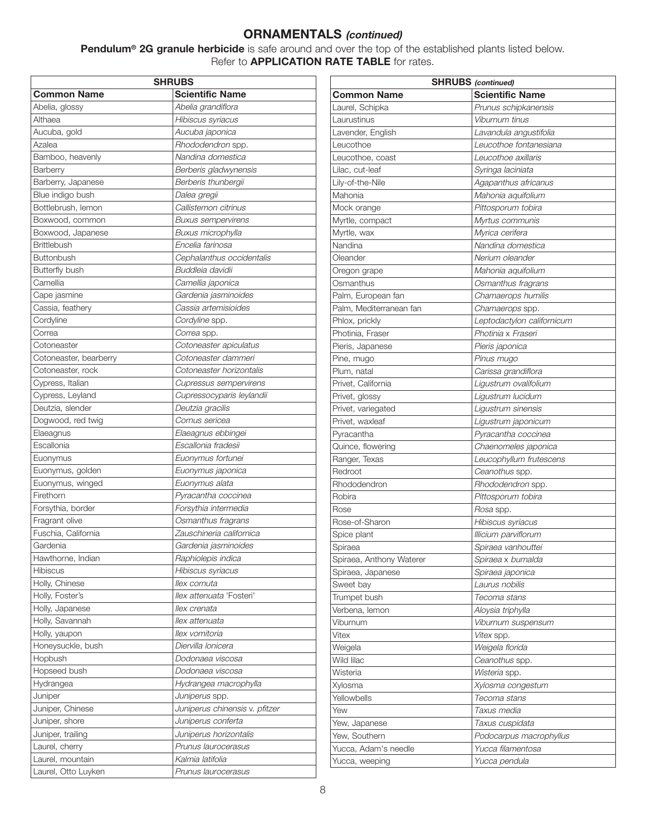**Pendulum® 2G granule herbicide** is safe around and over the top of the established plants listed below. Refer to **APPLICATION RATE TABLE** for rates.

| <b>SHRUBS</b>          |                                |  |  |
|------------------------|--------------------------------|--|--|
| <b>Common Name</b>     | <b>Scientific Name</b>         |  |  |
| Abelia, glossy         | Abelia grandiflora             |  |  |
| Althaea                | Hibiscus syriacus              |  |  |
| Aucuba, gold           | Aucuba japonica                |  |  |
| Azalea                 | Rhododendron spp.              |  |  |
| Bamboo, heavenly       | Nandina domestica              |  |  |
| Barberry               | Berberis gladwynensis          |  |  |
| Barberry, Japanese     | Berberis thunbergii            |  |  |
| Blue indigo bush       | Dalea gregii                   |  |  |
| Bottlebrush, lemon     | Callistemon citrinus           |  |  |
| Boxwood, common        | <b>Buxus sempervirens</b>      |  |  |
| Boxwood, Japanese      | Buxus microphylla              |  |  |
| <b>Brittlebush</b>     | Encelia farinosa               |  |  |
| <b>Buttonbush</b>      | Cephalanthus occidentalis      |  |  |
| <b>Butterfly bush</b>  | Buddleia davidii               |  |  |
| Camellia               | Camellia japonica              |  |  |
| Cape jasmine           | Gardenia jasminoides           |  |  |
| Cassia, feathery       | Cassia artemisioides           |  |  |
| Cordyline              | Cordyline spp.                 |  |  |
| Correa                 | Correa spp.                    |  |  |
|                        |                                |  |  |
| Cotoneaster            | Cotoneaster apiculatus         |  |  |
| Cotoneaster, bearberry | Cotoneaster dammeri            |  |  |
| Cotoneaster, rock      | Cotoneaster horizontalis       |  |  |
| Cypress, Italian       | Cupressus sempervirens         |  |  |
| Cypress, Leyland       | Cupressocyparis leylandii      |  |  |
| Deutzia, slender       | Deutzia gracilis               |  |  |
| Dogwood, red twig      | Cornus sericea                 |  |  |
| Elaeagnus              | Elaeagnus ebbingei             |  |  |
| Escallonia             | Escallonia fradesii            |  |  |
| Euonymus               | Euonymus fortunei              |  |  |
| Euonymus, golden       | Euonymus japonica              |  |  |
| Euonymus, winged       | Euonymus alata                 |  |  |
| Firethorn              | Pyracantha coccinea            |  |  |
| Forsythia, border      | Forsythia intermedia           |  |  |
| Fragrant olive         | Osmanthus fragrans             |  |  |
| Fuschia, California    | Zauschineria californica       |  |  |
| Gardenia               | Gardenia jasminoides           |  |  |
| Hawthorne, Indian      | Raphiolepis indica             |  |  |
| <b>Hibiscus</b>        | Hibiscus syriacus              |  |  |
| Holly, Chinese         | llex cornuta                   |  |  |
| Holly, Foster's        | llex attenuata 'Fosteri'       |  |  |
| Holly, Japanese        | llex crenata                   |  |  |
| Holly, Savannah        | llex attenuata                 |  |  |
| Holly, yaupon          | llex vomitoria                 |  |  |
| Honeysuckle, bush      | Diervilla Ionicera             |  |  |
| Hopbush                | Dodonaea viscosa               |  |  |
| Hopseed bush           | Dodonaea viscosa               |  |  |
| Hydrangea              | Hydrangea macrophylla          |  |  |
| Juniper                | Juniperus spp.                 |  |  |
| Juniper, Chinese       | Juniperus chinensis v. pfitzer |  |  |
| Juniper, shore         | Juniperus conferta             |  |  |
| Juniper, trailing      | Juniperus horizontalis         |  |  |
| Laurel, cherry         | Prunus laurocerasus            |  |  |
| Laurel, mountain       | Kalmia latifolia               |  |  |
| Laurel, Otto Luyken    | Prunus laurocerasus            |  |  |
|                        |                                |  |  |

| <b>SHRUBS</b> (continued) |                            |  |  |
|---------------------------|----------------------------|--|--|
| <b>Common Name</b>        | <b>Scientific Name</b>     |  |  |
| Laurel, Schipka           | Prunus schipkanensis       |  |  |
| Laurustinus               | Viburnum tinus             |  |  |
| Lavender, English         | Lavandula angustifolia     |  |  |
| Leucothoe                 | Leucothoe fontanesiana     |  |  |
| Leucothoe, coast          | Leucothoe axillaris        |  |  |
| Lilac, cut-leaf           | Syringa laciniata          |  |  |
| Lily-of-the-Nile          | Agapanthus africanus       |  |  |
| Mahonia                   | Mahonia aquifolium         |  |  |
| Mock orange               | Pittosporum tobira         |  |  |
| Myrtle, compact           | Myrtus communis            |  |  |
| Myrtle, wax               | Myrica cerifera            |  |  |
| Nandina                   | Nandina domestica          |  |  |
| Oleander                  | Nerium oleander            |  |  |
| Oregon grape              | Mahonia aquifolium         |  |  |
| Osmanthus                 | Osmanthus fragrans         |  |  |
| Palm, European fan        | Chamaerops humilis         |  |  |
| Palm, Mediterranean fan   | Chamaerops spp.            |  |  |
| Phlox, prickly            | Leptodactylon californicum |  |  |
| Photinia, Fraser          | Photinia x Fraseri         |  |  |
| Pieris, Japanese          | Pieris japonica            |  |  |
| Pine, mugo                | Pinus mugo                 |  |  |
| Plum, natal               | Carissa grandiflora        |  |  |
| Privet, California        | Ligustrum ovalifolium      |  |  |
| Privet, glossy            | Ligustrum lucidum          |  |  |
| Privet, variegated        | Ligustrum sinensis         |  |  |
| Privet, waxleaf           | Ligustrum japonicum        |  |  |
| Pyracantha                | Pyracantha coccinea        |  |  |
| Quince, flowering         | Chaenomeles japonica       |  |  |
| Ranger, Texas             | Leucophyllum frutescens    |  |  |
| Redroot                   | Ceanothus spp.             |  |  |
| Rhododendron              | Rhododendron spp.          |  |  |
| Robira                    | Pittosporum tobira         |  |  |
| Rose                      | <i>Rosa</i> spp.           |  |  |
| Rose-of-Sharon            | Hibiscus syriacus          |  |  |
| Spice plant               | Illicium parviflorum       |  |  |
| Spiraea                   | Spiraea vanhouttei         |  |  |
| Spiraea, Anthony Waterer  | Spiraea x bumalda          |  |  |
| Spiraea, Japanese         | Spiraea japonica           |  |  |
| Sweet bay                 | Laurus nobilis             |  |  |
| Trumpet bush              | Tecoma stans               |  |  |
| Verbena, lemon            | Aloysia triphylla          |  |  |
| Viburnum                  | Viburnum suspensum         |  |  |
| Vitex                     | <i>Vitex</i> spp.          |  |  |
| Weigela                   | Weigela florida            |  |  |
| Wild lilac                | Ceanothus spp.             |  |  |
| Wisteria                  | Wisteria spp.              |  |  |
| Xylosma                   | Xylosma congestum          |  |  |
| Yellowbells               | Tecoma stans               |  |  |
| Yew                       | Taxus media                |  |  |
| Yew, Japanese             | Taxus cuspidata            |  |  |
| Yew, Southern             | Podocarpus macrophyllus    |  |  |
| Yucca, Adam's needle      | Yucca filamentosa          |  |  |
| Yucca, weeping            | Yucca pendula              |  |  |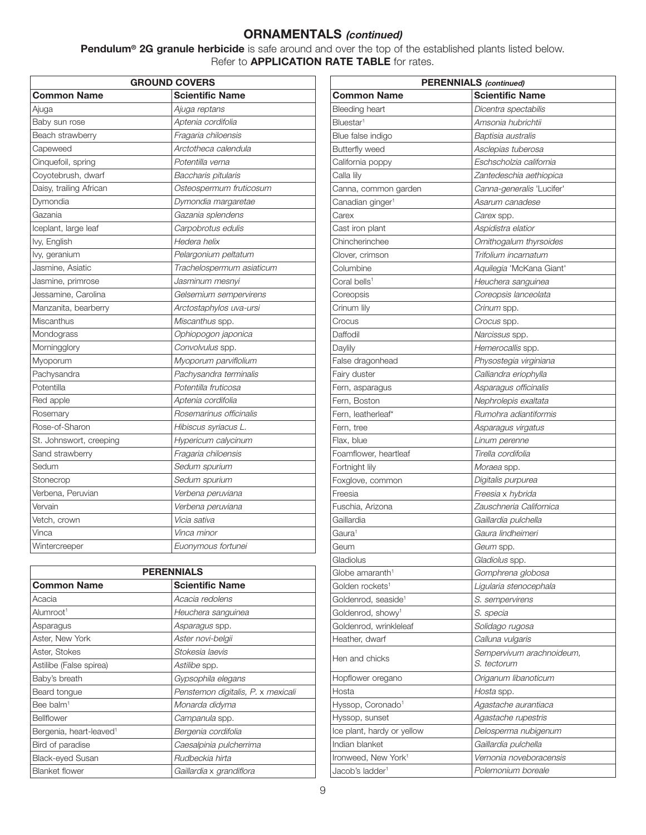**Pendulum® 2G granule herbicide** is safe around and over the top of the established plants listed below. Refer to **APPLICATION RATE TABLE** for rates.

| <b>GROUND COVERS</b>    |                           |  |  |
|-------------------------|---------------------------|--|--|
| Common Name             | <b>Scientific Name</b>    |  |  |
| Ajuga                   | Ajuga reptans             |  |  |
| Baby sun rose           | Aptenia cordifolia        |  |  |
| Beach strawberry        | Fragaria chiloensis       |  |  |
| Capeweed                | Arctotheca calendula      |  |  |
| Cinquefoil, spring      | Potentilla verna          |  |  |
| Coyotebrush, dwarf      | Baccharis pitularis       |  |  |
| Daisy, trailing African | Osteospermum fruticosum   |  |  |
| Dymondia                | Dymondia margaretae       |  |  |
| Gazania                 | Gazania splendens         |  |  |
| Iceplant, large leaf    | Carpobrotus edulis        |  |  |
| lvy, English            | Hedera helix              |  |  |
| lvy, geranium           | Pelargonium peltatum      |  |  |
| Jasmine, Asiatic        | Trachelospermum asiaticum |  |  |
| Jasmine, primrose       | Jasminum mesnyi           |  |  |
| Jessamine, Carolina     | Gelsemium sempervirens    |  |  |
| Manzanita, bearberry    | Arctostaphylos uva-ursi   |  |  |
| Miscanthus              | Miscanthus spp.           |  |  |
| Mondograss              | Ophiopogon japonica       |  |  |
| Morningglory            | Convolvulus spp.          |  |  |
| Myoporum                | Myoporum parviflolium     |  |  |
| Pachysandra             | Pachysandra terminalis    |  |  |
| Potentilla              | Potentilla fruticosa      |  |  |
| Red apple               | Aptenia cordifolia        |  |  |
| Rosemary                | Rosemarinus officinalis   |  |  |
| Rose-of-Sharon          | Hibiscus syriacus L.      |  |  |
| St. Johnswort, creeping | Hypericum calycinum       |  |  |
| Sand strawberry         | Fragaria chiloensis       |  |  |
| Sedum                   | Sedum spurium             |  |  |
| Stonecrop               | Sedum spurium             |  |  |
| Verbena, Peruvian       | Verbena peruviana         |  |  |
| Vervain                 | Verbena peruviana         |  |  |
| Vetch, crown            | Vicia sativa              |  |  |
| Vinca                   | Vinca minor               |  |  |
| Wintercreeper           | Euonymous fortunei        |  |  |

| <b>PERENNIALS</b>                   |                                    |  |
|-------------------------------------|------------------------------------|--|
| <b>Common Name</b>                  | <b>Scientific Name</b>             |  |
| Acacia                              | Acacia redolens                    |  |
| Alumroot <sup>1</sup>               | Heuchera sanguinea                 |  |
| Asparagus                           | Asparagus spp.                     |  |
| Aster, New York                     | Aster novi-belgii                  |  |
| Aster, Stokes                       | Stokesia laevis                    |  |
| Astilibe (False spirea)             | Astilibe spp.                      |  |
| Baby's breath                       | Gypsophila elegans                 |  |
| Beard tongue                        | Penstemon digitalis, P. x mexicali |  |
| Bee balm <sup>1</sup>               | Monarda didyma                     |  |
| Bellflower                          | Campanula spp.                     |  |
| Bergenia, heart-leaved <sup>1</sup> | Bergenia cordifolia                |  |
| Bird of paradise                    | Caesalpinia pulcherrima            |  |
| <b>Black-eyed Susan</b>             | Rudbeckia hirta                    |  |
| <b>Blanket flower</b>               | Gaillardia x grandiflora           |  |

| <b>PERENNIALS</b> (continued)   |                           |  |  |
|---------------------------------|---------------------------|--|--|
| <b>Common Name</b>              | <b>Scientific Name</b>    |  |  |
| <b>Bleeding heart</b>           | Dicentra spectabilis      |  |  |
| Bluestar <sup>1</sup>           | Amsonia hubrichtii        |  |  |
| Blue false indigo               | Baptisia australis        |  |  |
| <b>Butterfly weed</b>           | Asclepias tuberosa        |  |  |
| California poppy                | Eschscholzia california   |  |  |
| Calla lily                      | Zantedeschia aethiopica   |  |  |
| Canna, common garden            | Canna-generalis 'Lucifer' |  |  |
| Canadian ginger <sup>1</sup>    | Asarum canadese           |  |  |
| Carex                           | Carex spp.                |  |  |
| Cast iron plant                 | Aspidistra elatior        |  |  |
| Chincherinchee                  | Ornithogalum thyrsoides   |  |  |
| Clover, crimson                 | Trifolium incarnatum      |  |  |
| Columbine                       | Aquilegia 'McKana Giant'  |  |  |
| Coral bells <sup>1</sup>        | Heuchera sanguinea        |  |  |
| Coreopsis                       | Coreopsis lanceolata      |  |  |
| Crinum lily                     | Crinum spp.               |  |  |
| Crocus                          | Crocus spp.               |  |  |
| Daffodil                        | Narcissus spp.            |  |  |
| Daylily                         | Hemerocallis spp.         |  |  |
| False dragonhead                | Physostegia virginiana    |  |  |
| Fairy duster                    | Calliandra eriophylla     |  |  |
| Fern, asparagus                 | Asparagus officinalis     |  |  |
| Fern, Boston                    | Nephrolepis exaltata      |  |  |
| Fern, leatherleaf*              | Rumohra adiantiformis     |  |  |
| Fern, tree                      | Asparagus virgatus        |  |  |
| Flax, blue                      | Linum perenne             |  |  |
| Foamflower, heartleaf           | Tirella cordifolia        |  |  |
| Fortnight lily                  | Moraea spp.               |  |  |
| Foxglove, common                | Digitalis purpurea        |  |  |
| Freesia                         | Freesia x hybrida         |  |  |
| Fuschia, Arizona                | Zauschneria Californica   |  |  |
| Gaillardia                      | Gaillardia pulchella      |  |  |
| Gaura <sup>1</sup>              | Gaura lindheimeri         |  |  |
| Geum                            | Geum spp.                 |  |  |
| Gladiolus                       | Gladiolus spp.            |  |  |
| Globe amaranth <sup>1</sup>     | Gomphrena globosa         |  |  |
| Golden rockets <sup>1</sup>     | Ligularia stenocephala    |  |  |
| Goldenrod, seaside <sup>1</sup> | S. sempervirens           |  |  |
| Goldenrod, showy <sup>1</sup>   | S. specia                 |  |  |
| Goldenrod, wrinkleleaf          | Solidago rugosa           |  |  |
| Heather, dwarf                  | Calluna vulgaris          |  |  |
| Hen and chicks                  | Sempervivum arachnoideum, |  |  |
|                                 | S. tectorum               |  |  |
| Hopflower oregano               | Origanum libanoticum      |  |  |
| Hosta                           | Hosta spp.                |  |  |
| Hyssop, Coronado <sup>1</sup>   | Agastache aurantiaca      |  |  |
| Hyssop, sunset                  | Agastache rupestris       |  |  |
| Ice plant, hardy or yellow      | Delosperma nubigenum      |  |  |
| Indian blanket                  | Gaillardia pulchella      |  |  |
| Ironweed, New York <sup>1</sup> | Vernonia noveboracensis   |  |  |
| Jacob's ladder <sup>1</sup>     | Polemonium boreale        |  |  |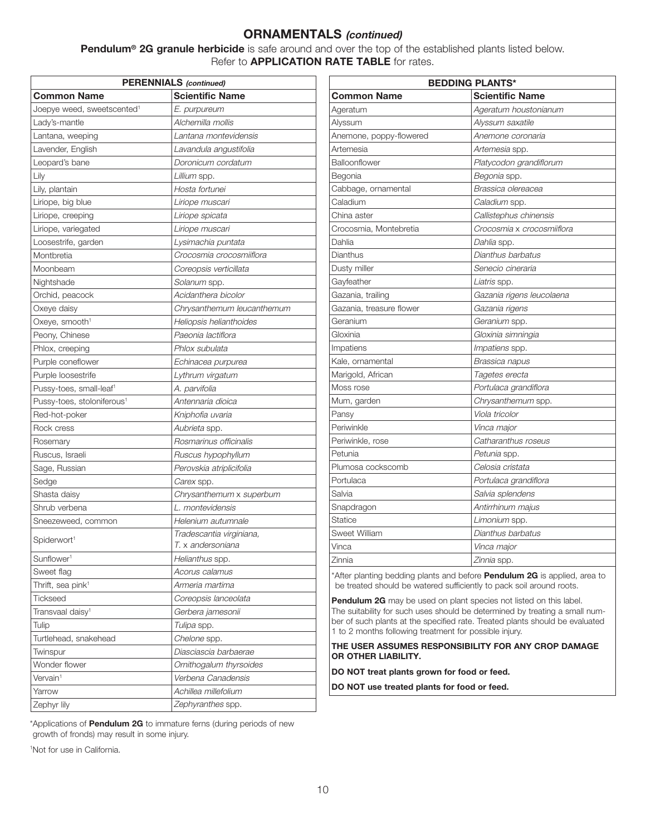**Pendulum® 2G granule herbicide** is safe around and over the top of the established plants listed below. Refer to **APPLICATION RATE TABLE** for rates.

| <b>PERENNIALS</b> (continued)          |                            |  |
|----------------------------------------|----------------------------|--|
| <b>Common Name</b>                     | <b>Scientific Name</b>     |  |
| Joepye weed, sweetscented <sup>1</sup> | E. purpureum               |  |
| Lady's-mantle                          | Alchemilla mollis          |  |
| Lantana, weeping                       | Lantana montevidensis      |  |
| Lavender, English                      | Lavandula angustifolia     |  |
| Leopard's bane                         | Doronicum cordatum         |  |
| Lily                                   | Lillium spp.               |  |
| Lily, plantain                         | Hosta fortunei             |  |
| Liriope, big blue                      | Liriope muscari            |  |
| Liriope, creeping                      | Liriope spicata            |  |
| Liriope, variegated                    | Liriope muscari            |  |
| Loosestrife, garden                    | Lysimachia puntata         |  |
| Montbretia                             | Crocosmia crocosmiiflora   |  |
| Moonbeam                               | Coreopsis verticillata     |  |
| Nightshade                             | Solanum spp.               |  |
| Orchid, peacock                        | Acidanthera bicolor        |  |
| Oxeye daisy                            | Chrysanthemum leucanthemum |  |
| Oxeye, smooth <sup>1</sup>             | Heliopsis helianthoides    |  |
| Peony, Chinese                         | Paeonia lactiflora         |  |
| Phlox, creeping                        | Phlox subulata             |  |
| Purple coneflower                      | Echinacea purpurea         |  |
| Purple loosestrife                     | Lythrum virgatum           |  |
| Pussy-toes, small-leaf <sup>1</sup>    | A. parvifolia              |  |
| Pussy-toes, stoloniferous <sup>1</sup> | Antennaria dioica          |  |
| Red-hot-poker                          | Kniphofia uvaria           |  |
| Rock cress                             | <i>Aubrieta</i> spp.       |  |
| Rosemary                               | Rosmarinus officinalis     |  |
| Ruscus, Israeli                        | Ruscus hypophyllum         |  |
| Sage, Russian                          | Perovskia atriplicifolia   |  |
| Sedge                                  | Carex spp.                 |  |
| Shasta daisy                           | Chrysanthemum x superbum   |  |
| Shrub verbena                          | L. montevidensis           |  |
| Sneezeweed, common                     | Helenium autumnale         |  |
| Spiderwort <sup>1</sup>                | Tradescantia virginiana,   |  |
|                                        | T. x andersoniana          |  |
| Sunflower <sup>1</sup>                 | Helianthus spp.            |  |
| Sweet flag                             | Acorus calamus             |  |
| Thrift, sea pink <sup>1</sup>          | Armeria martima            |  |
| <b>Tickseed</b>                        | Coreopsis lanceolata       |  |
| Transvaal daisy <sup>1</sup>           | Gerbera jamesonii          |  |
| Tulip                                  | Tulipa spp.                |  |
| Turtlehead, snakehead                  | Chelone spp.               |  |
| Twinspur                               | Diasciascia barbaerae      |  |
| Wonder flower                          | Ornithogalum thyrsoides    |  |
| Vervain <sup>1</sup>                   | Verbena Canadensis         |  |
| Yarrow                                 | Achillea millefolium       |  |
| Zephyr lily                            | Zephyranthes spp.          |  |

|                          | <b>BEDDING PLANTS*</b>     |  |  |
|--------------------------|----------------------------|--|--|
| <b>Common Name</b>       | <b>Scientific Name</b>     |  |  |
| Ageratum                 | Ageratum houstonianum      |  |  |
| Alyssum                  | Alyssum saxatile           |  |  |
| Anemone, poppy-flowered  | Anemone coronaria          |  |  |
| Artemesia                | Artemesia spp.             |  |  |
| Balloonflower            | Platycodon grandiflorum    |  |  |
| Begonia                  | Begonia spp.               |  |  |
| Cabbage, ornamental      | Brassica olereacea         |  |  |
| Caladium                 | Caladium spp.              |  |  |
| China aster              | Callistephus chinensis     |  |  |
| Crocosmia, Montebretia   | Crocosmia x crocosmiiflora |  |  |
| Dahlia                   | Dahlia spp.                |  |  |
| Dianthus                 | Dianthus barbatus          |  |  |
| Dusty miller             | Senecio cineraria          |  |  |
| Gayfeather               | Liatris spp.               |  |  |
| Gazania, trailing        | Gazania rigens leucolaena  |  |  |
| Gazania, treasure flower | Gazania rigens             |  |  |
| Geranium                 | Geranium spp.              |  |  |
| Gloxinia                 | Gloxinia simningia         |  |  |
| Impatiens                | Impatiens spp.             |  |  |
| Kale, ornamental         | Brassica napus             |  |  |
| Marigold, African        | Tagetes erecta             |  |  |
| Moss rose                | Portulaca grandiflora      |  |  |
| Mum, garden              | Chrysanthemum spp.         |  |  |
| Pansy                    | Viola tricolor             |  |  |
| Periwinkle               | Vinca major                |  |  |
| Periwinkle, rose         | Catharanthus roseus        |  |  |
| Petunia                  | Petunia spp.               |  |  |
| Plumosa cockscomb        | Celosia cristata           |  |  |
| Portulaca                | Portulaca grandiflora      |  |  |
| Salvia                   | Salvia splendens           |  |  |
| Snapdragon               | Antirrhinum majus          |  |  |
| Statice                  | Limonium spp.              |  |  |
| Sweet William            | Dianthus barbatus          |  |  |
| Vinca                    | Vinca major                |  |  |
| Zinnia                   | Zinnia spp.                |  |  |
|                          |                            |  |  |

\*After planting bedding plants and before **Pendulum 2G** is applied, area to be treated should be watered sufficiently to pack soil around roots.

**Pendulum 2G** may be used on plant species not listed on this label. The suitability for such uses should be determined by treating a small number of such plants at the specified rate. Treated plants should be evaluated 1 to 2 months following treatment for possible injury.

#### **THE USER ASSUMES RESPONSIBILITY FOR ANY CROP DAMAGE OR OTHER LIABILITY.**

**DO NOT treat plants grown for food or feed.**

**DO NOT use treated plants for food or feed.**

\*Applications of **Pendulum 2G** to immature ferns (during periods of new growth of fronds) may result in some injury.

1 Not for use in California.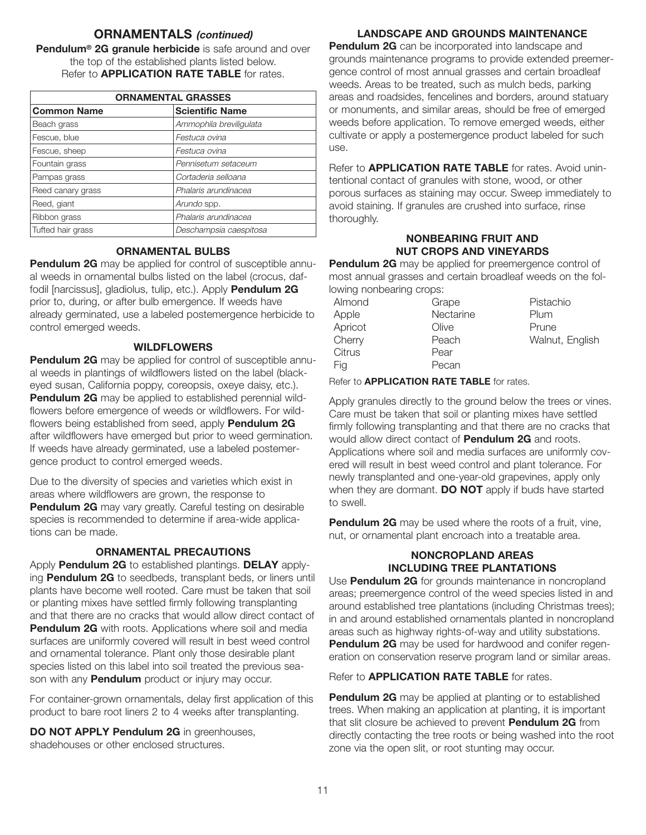**Pendulum® 2G granule herbicide** is safe around and over the top of the established plants listed below. Refer to **APPLICATION RATE TABLE** for rates.

| <b>ORNAMENTAL GRASSES</b> |                         |  |
|---------------------------|-------------------------|--|
| <b>Common Name</b>        | <b>Scientific Name</b>  |  |
| Beach grass               | Ammophila breviligulata |  |
| Fescue, blue              | Festuca ovina           |  |
| Fescue, sheep             | Festuca ovina           |  |
| Fountain grass            | Pennisetum setaceum     |  |
| Pampas grass              | Cortaderia selloana     |  |
| Reed canary grass         | Phalaris arundinacea    |  |
| Reed, giant               | Arundo spp.             |  |
| Ribbon grass              | Phalaris arundinacea    |  |
| Tufted hair grass         | Deschampsia caespitosa  |  |

#### **ORNAMENTAL BULBS**

**Pendulum 2G** may be applied for control of susceptible annual weeds in ornamental bulbs listed on the label (crocus, daffodil [narcissus], gladiolus, tulip, etc.). Apply **Pendulum 2G** prior to, during, or after bulb emergence. If weeds have already germinated, use a labeled postemergence herbicide to control emerged weeds.

### **WILDFLOWERS**

**Pendulum 2G** may be applied for control of susceptible annual weeds in plantings of wildflowers listed on the label (blackeyed susan, California poppy, coreopsis, oxeye daisy, etc.). **Pendulum 2G** may be applied to established perennial wildflowers before emergence of weeds or wildflowers. For wildflowers being established from seed, apply **Pendulum 2G** after wildflowers have emerged but prior to weed germination. If weeds have already germinated, use a labeled postemergence product to control emerged weeds.

Due to the diversity of species and varieties which exist in areas where wildflowers are grown, the response to **Pendulum 2G** may vary greatly. Careful testing on desirable species is recommended to determine if area-wide applications can be made.

### **ORNAMENTAL PRECAUTIONS**

Apply **Pendulum 2G** to established plantings. **DELAY** applying **Pendulum 2G** to seedbeds, transplant beds, or liners until plants have become well rooted. Care must be taken that soil or planting mixes have settled firmly following transplanting and that there are no cracks that would allow direct contact of **Pendulum 2G** with roots. Applications where soil and media surfaces are uniformly covered will result in best weed control and ornamental tolerance. Plant only those desirable plant species listed on this label into soil treated the previous season with any **Pendulum** product or injury may occur.

For container-grown ornamentals, delay first application of this product to bare root liners 2 to 4 weeks after transplanting.

**DO NOT APPLY Pendulum 2G** in greenhouses, shadehouses or other enclosed structures.

#### **LANDSCAPE AND GROUNDS MAINTENANCE**

**Pendulum 2G** can be incorporated into landscape and grounds maintenance programs to provide extended preemergence control of most annual grasses and certain broadleaf weeds. Areas to be treated, such as mulch beds, parking areas and roadsides, fencelines and borders, around statuary or monuments, and similar areas, should be free of emerged weeds before application. To remove emerged weeds, either cultivate or apply a postemergence product labeled for such use.

Refer to **APPLICATION RATE TABLE** for rates. Avoid unintentional contact of granules with stone, wood, or other porous surfaces as staining may occur. Sweep immediately to avoid staining. If granules are crushed into surface, rinse thoroughly.

### **NONBEARING FRUIT AND NUT CROPS AND VINEYARDS**

**Pendulum 2G** may be applied for preemergence control of most annual grasses and certain broadleaf weeds on the following nonbearing crops:

| Almond  | Grape     | Pistachio       |
|---------|-----------|-----------------|
| Apple   | Nectarine | Plum            |
| Apricot | Olive     | Prune           |
| Cherry  | Peach     | Walnut, English |
| Citrus  | Pear      |                 |
| Fig     | Pecan     |                 |

Refer to **APPLICATION RATE TABLE** for rates.

Apply granules directly to the ground below the trees or vines. Care must be taken that soil or planting mixes have settled firmly following transplanting and that there are no cracks that would allow direct contact of **Pendulum 2G** and roots. Applications where soil and media surfaces are uniformly covered will result in best weed control and plant tolerance. For newly transplanted and one-year-old grapevines, apply only when they are dormant. **DO NOT** apply if buds have started to swell.

**Pendulum 2G** may be used where the roots of a fruit, vine, nut, or ornamental plant encroach into a treatable area.

### **NONCROPLAND AREAS INCLUDING TREE PLANTATIONS**

Use **Pendulum 2G** for grounds maintenance in noncropland areas; preemergence control of the weed species listed in and around established tree plantations (including Christmas trees); in and around established ornamentals planted in noncropland areas such as highway rights-of-way and utility substations. **Pendulum 2G** may be used for hardwood and conifer regeneration on conservation reserve program land or similar areas.

Refer to **APPLICATION RATE TABLE** for rates.

**Pendulum 2G** may be applied at planting or to established trees. When making an application at planting, it is important that slit closure be achieved to prevent **Pendulum 2G** from directly contacting the tree roots or being washed into the root zone via the open slit, or root stunting may occur.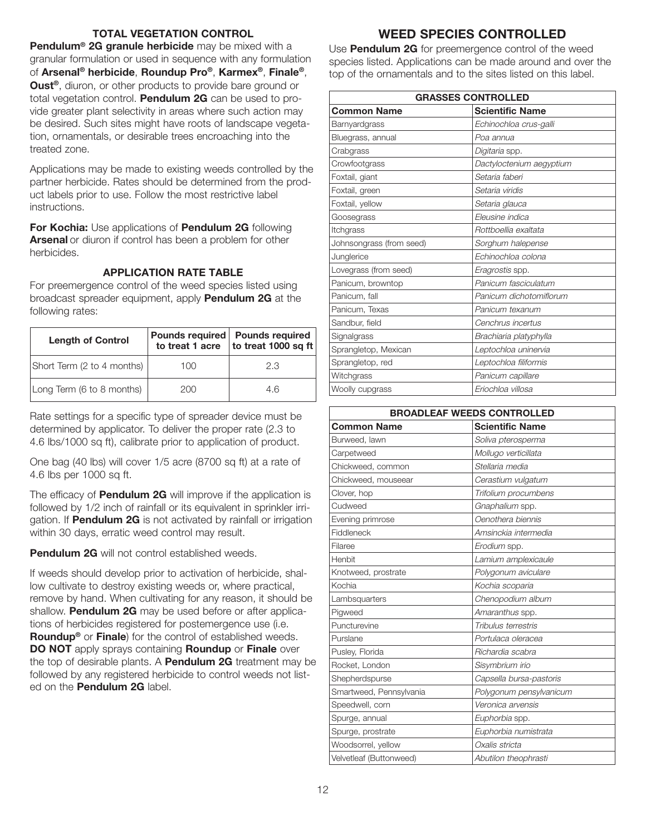#### **TOTAL VEGETATION CONTROL**

**Pendulum® 2G granule herbicide** may be mixed with a granular formulation or used in sequence with any formulation of **Arsenal® herbicide**, **Roundup Pro®**, **Karmex®**, **Finale®**, **Oust®**, diuron, or other products to provide bare ground or total vegetation control. **Pendulum 2G** can be used to provide greater plant selectivity in areas where such action may be desired. Such sites might have roots of landscape vegetation, ornamentals, or desirable trees encroaching into the treated zone.

Applications may be made to existing weeds controlled by the partner herbicide. Rates should be determined from the product labels prior to use. Follow the most restrictive label instructions.

**For Kochia:** Use applications of **Pendulum 2G** following **Arsenal** or diuron if control has been a problem for other herbicides.

### **APPLICATION RATE TABLE**

For preemergence control of the weed species listed using broadcast spreader equipment, apply **Pendulum 2G** at the following rates:

| <b>Length of Control</b>   |     | Pounds required   Pounds required<br>to treat 1 acre to treat 1000 sq ft |
|----------------------------|-----|--------------------------------------------------------------------------|
| Short Term (2 to 4 months) | 100 | 2.3                                                                      |
| Long Term (6 to 8 months)  | 200 | 46                                                                       |

Rate settings for a specific type of spreader device must be determined by applicator. To deliver the proper rate (2.3 to 4.6 lbs/1000 sq ft), calibrate prior to application of product.

One bag (40 lbs) will cover 1/5 acre (8700 sq ft) at a rate of 4.6 lbs per 1000 sq ft.

The efficacy of **Pendulum 2G** will improve if the application is followed by 1/2 inch of rainfall or its equivalent in sprinkler irrigation. If **Pendulum 2G** is not activated by rainfall or irrigation within 30 days, erratic weed control may result.

**Pendulum 2G** will not control established weeds.

If weeds should develop prior to activation of herbicide, shallow cultivate to destroy existing weeds or, where practical, remove by hand. When cultivating for any reason, it should be shallow. **Pendulum 2G** may be used before or after applications of herbicides registered for postemergence use (i.e. **Roundup®** or **Finale**) for the control of established weeds. **DO NOT** apply sprays containing **Roundup** or **Finale** over the top of desirable plants. A **Pendulum 2G** treatment may be followed by any registered herbicide to control weeds not listed on the **Pendulum 2G** label.

## **WEED SPECIES CONTROLLED**

Use **Pendulum 2G** for preemergence control of the weed species listed. Applications can be made around and over the top of the ornamentals and to the sites listed on this label.

| <b>GRASSES CONTROLLED</b> |                          |  |
|---------------------------|--------------------------|--|
| <b>Common Name</b>        | <b>Scientific Name</b>   |  |
| Barnyardgrass             | Echinochloa crus-galli   |  |
| Bluegrass, annual         | Poa annua                |  |
| Crabgrass                 | Digitaria spp.           |  |
| Crowfootgrass             | Dactyloctenium aegyptium |  |
| Foxtail, giant            | Setaria faberi           |  |
| Foxtail, green            | Setaria viridis          |  |
| Foxtail, yellow           | Setaria glauca           |  |
| Goosegrass                | Eleusine indica          |  |
| Itchgrass                 | Rottboellia exaltata     |  |
| Johnsongrass (from seed)  | Sorghum halepense        |  |
| Junglerice                | Echinochloa colona       |  |
| Lovegrass (from seed)     | Eragrostis spp.          |  |
| Panicum, browntop         | Panicum fasciculatum     |  |
| Panicum, fall             | Panicum dichotomiflorum  |  |
| Panicum, Texas            | Panicum texanum          |  |
| Sandbur, field            | Cenchrus incertus        |  |
| Signalgrass               | Brachiaria platyphylla   |  |
| Sprangletop, Mexican      | Leptochloa uninervia     |  |
| Sprangletop, red          | Leptochloa filiformis    |  |
| Witchgrass                | Panicum capillare        |  |
| Woolly cupgrass           | Eriochloa villosa        |  |

| <b>BROADLEAF WEEDS CONTROLLED</b> |                         |  |
|-----------------------------------|-------------------------|--|
| <b>Common Name</b>                | <b>Scientific Name</b>  |  |
| Burweed, lawn                     | Soliva pterosperma      |  |
| Carpetweed                        | Mollugo verticillata    |  |
| Chickweed, common                 | Stellaria media         |  |
| Chickweed, mouseear               | Cerastium vulgatum      |  |
| Clover, hop                       | Trifolium procumbens    |  |
| Cudweed                           | Gnaphalium spp.         |  |
| Evening primrose                  | Oenothera biennis       |  |
| Fiddleneck                        | Amsinckia intermedia    |  |
| Filaree                           | Erodium spp.            |  |
| Henbit                            | Lamium amplexicaule     |  |
| Knotweed, prostrate               | Polygonum aviculare     |  |
| Kochia                            | Kochia scoparia         |  |
| Lambsquarters                     | Chenopodium album       |  |
| Pigweed                           | Amaranthus spp.         |  |
| Puncturevine                      | Tribulus terrestris     |  |
| Purslane                          | Portulaca oleracea      |  |
| Pusley, Florida                   | Richardia scabra        |  |
| Rocket, London                    | Sisymbrium irio         |  |
| Shepherdspurse                    | Capsella bursa-pastoris |  |
| Smartweed, Pennsylvania           | Polygonum pensylvanicum |  |
| Speedwell, corn                   | Veronica arvensis       |  |
| Spurge, annual                    | Euphorbia spp.          |  |
| Spurge, prostrate                 | Euphorbia numistrata    |  |
| Woodsorrel, yellow                | Oxalis stricta          |  |
| Velvetleaf (Buttonweed)           | Abutilon theophrasti    |  |